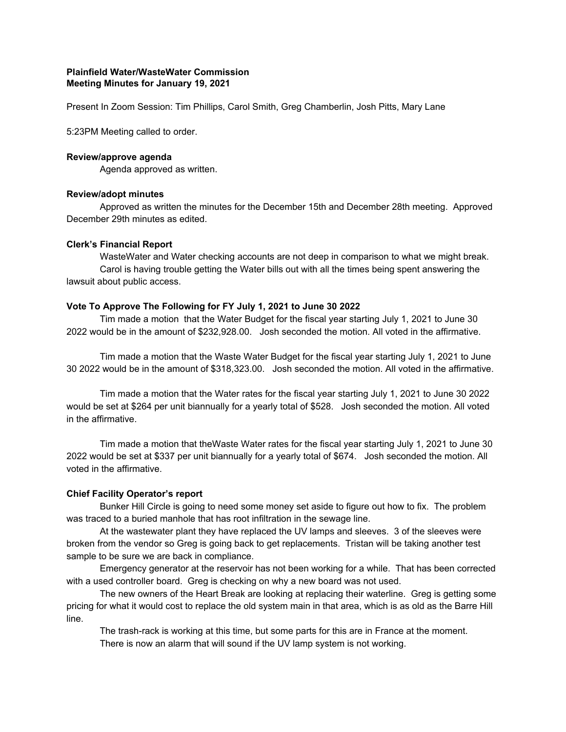# **Plainfield Water/WasteWater Commission Meeting Minutes for January 19, 2021**

Present In Zoom Session: Tim Phillips, Carol Smith, Greg Chamberlin, Josh Pitts, Mary Lane

5:23PM Meeting called to order.

#### **Review/approve agenda**

Agenda approved as written.

### **Review/adopt minutes**

Approved as written the minutes for the December 15th and December 28th meeting. Approved December 29th minutes as edited.

### **Clerk's Financial Report**

WasteWater and Water checking accounts are not deep in comparison to what we might break. Carol is having trouble getting the Water bills out with all the times being spent answering the lawsuit about public access.

### **Vote To Approve The Following for FY July 1, 2021 to June 30 2022**

Tim made a motion that the Water Budget for the fiscal year starting July 1, 2021 to June 30 2022 would be in the amount of \$232,928.00. Josh seconded the motion. All voted in the affirmative.

Tim made a motion that the Waste Water Budget for the fiscal year starting July 1, 2021 to June 30 2022 would be in the amount of \$318,323.00. Josh seconded the motion. All voted in the affirmative.

Tim made a motion that the Water rates for the fiscal year starting July 1, 2021 to June 30 2022 would be set at \$264 per unit biannually for a yearly total of \$528. Josh seconded the motion. All voted in the affirmative.

Tim made a motion that theWaste Water rates for the fiscal year starting July 1, 2021 to June 30 2022 would be set at \$337 per unit biannually for a yearly total of \$674. Josh seconded the motion. All voted in the affirmative.

### **Chief Facility Operator's report**

Bunker Hill Circle is going to need some money set aside to figure out how to fix. The problem was traced to a buried manhole that has root infiltration in the sewage line.

At the wastewater plant they have replaced the UV lamps and sleeves. 3 of the sleeves were broken from the vendor so Greg is going back to get replacements. Tristan will be taking another test sample to be sure we are back in compliance.

Emergency generator at the reservoir has not been working for a while. That has been corrected with a used controller board. Greg is checking on why a new board was not used.

The new owners of the Heart Break are looking at replacing their waterline. Greg is getting some pricing for what it would cost to replace the old system main in that area, which is as old as the Barre Hill line.

The trash-rack is working at this time, but some parts for this are in France at the moment. There is now an alarm that will sound if the UV lamp system is not working.